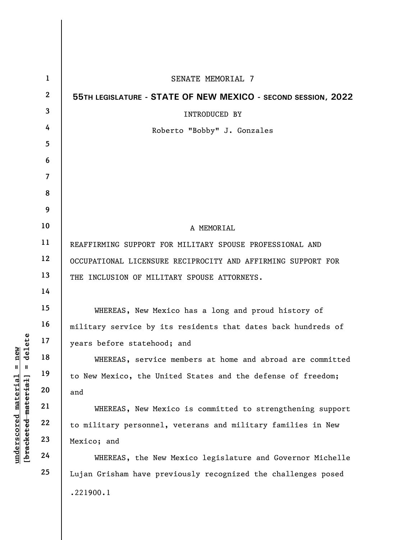|                                             | $\mathbf{1}$   | SENATE MEMORIAL 7                                             |
|---------------------------------------------|----------------|---------------------------------------------------------------|
|                                             | $\mathbf{2}$   | 55TH LEGISLATURE - STATE OF NEW MEXICO - SECOND SESSION, 2022 |
|                                             | 3              | <b>INTRODUCED BY</b>                                          |
|                                             | 4              | Roberto "Bobby" J. Gonzales                                   |
|                                             | 5              |                                                               |
|                                             | 6              |                                                               |
|                                             | $\overline{7}$ |                                                               |
|                                             | 8              |                                                               |
|                                             | 9              |                                                               |
|                                             | 10             | A MEMORIAL                                                    |
|                                             | 11             | REAFFIRMING SUPPORT FOR MILITARY SPOUSE PROFESSIONAL AND      |
|                                             | 12             | OCCUPATIONAL LICENSURE RECIPROCITY AND AFFIRMING SUPPORT FOR  |
|                                             | 13             | THE INCLUSION OF MILITARY SPOUSE ATTORNEYS.                   |
|                                             | 14             |                                                               |
|                                             | 15             | WHEREAS, New Mexico has a long and proud history of           |
|                                             | 16             | military service by its residents that dates back hundreds of |
| delete                                      | 17             | years before statehood; and                                   |
| $n$ ew<br>Ш<br>Ш                            | 18             | WHEREAS, service members at home and abroad are committed     |
|                                             | 19             | to New Mexico, the United States and the defense of freedom;  |
|                                             | 20             | and                                                           |
|                                             | 21             | WHEREAS, New Mexico is committed to strengthening support     |
| underscored material<br>[bracketed material | 22             | to military personnel, veterans and military families in New  |
|                                             | 23             | Mexico; and                                                   |
|                                             | 24             | WHEREAS, the New Mexico legislature and Governor Michelle     |
|                                             | 25             | Lujan Grisham have previously recognized the challenges posed |
|                                             |                | .221900.1                                                     |
|                                             |                |                                                               |

 $\overline{\phantom{a}}$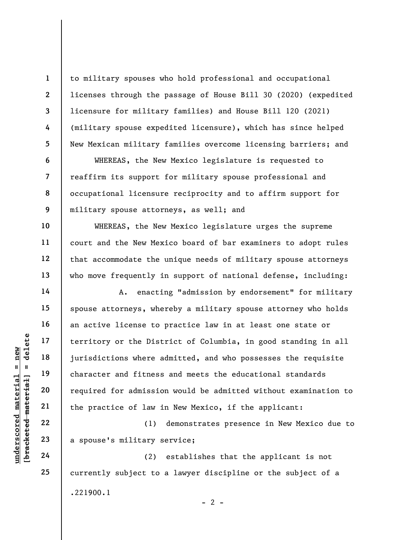to military spouses who hold professional and occupational licenses through the passage of House Bill 30 (2020) (expedited licensure for military families) and House Bill 120 (2021) (military spouse expedited licensure), which has since helped New Mexican military families overcome licensing barriers; and

WHEREAS, the New Mexico legislature is requested to reaffirm its support for military spouse professional and occupational licensure reciprocity and to affirm support for military spouse attorneys, as well; and

WHEREAS, the New Mexico legislature urges the supreme court and the New Mexico board of bar examiners to adopt rules that accommodate the unique needs of military spouse attorneys who move frequently in support of national defense, including:

underscored material = new [bracketed material] = delete A. enacting "admission by endorsement" for military spouse attorneys, whereby a military spouse attorney who holds an active license to practice law in at least one state or territory or the District of Columbia, in good standing in all jurisdictions where admitted, and who possesses the requisite character and fitness and meets the educational standards required for admission would be admitted without examination to the practice of law in New Mexico, if the applicant:

(1) demonstrates presence in New Mexico due to a spouse's military service;

(2) establishes that the applicant is not currently subject to a lawyer discipline or the subject of a .221900.1  $- 2 -$ 

24

1

2

3

4

5

6

7

8

9

10

11

12

13

14

15

16

17

18

19

20

21

22

23

25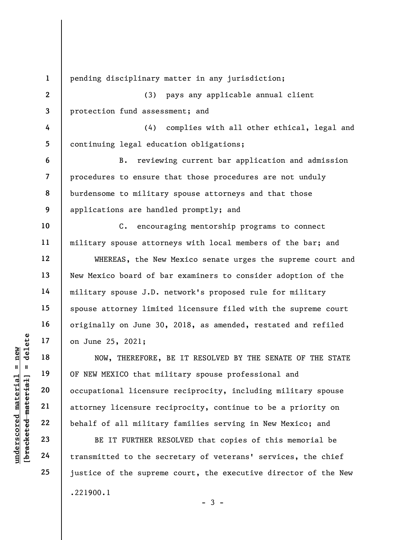UN DE DURERE PORE MOW, THEREFORE,<br>
19 18 NOW, THEREFORE,<br>
19 0F NEW MEXICO that mi<br>
20 0E NEW MEXICO that mi<br>
21 0E NEW MEXICO that mi<br>
21 0E NEW MEXICO that mi<br>
22 behalf of all militar<br>
23 BE IT FURTHER RI<br>
24 transmitte 1 2 3 4 5 6 7 8 9 10 11 12 13 14 15 16 17 18 19 20 21 22 23 24 25 pending disciplinary matter in any jurisdiction; (3) pays any applicable annual client protection fund assessment; and (4) complies with all other ethical, legal and continuing legal education obligations; B. reviewing current bar application and admission procedures to ensure that those procedures are not unduly burdensome to military spouse attorneys and that those applications are handled promptly; and C. encouraging mentorship programs to connect military spouse attorneys with local members of the bar; and WHEREAS, the New Mexico senate urges the supreme court and New Mexico board of bar examiners to consider adoption of the military spouse J.D. network's proposed rule for military spouse attorney limited licensure filed with the supreme court originally on June 30, 2018, as amended, restated and refiled on June 25, 2021; NOW, THEREFORE, BE IT RESOLVED BY THE SENATE OF THE STATE OF NEW MEXICO that military spouse professional and occupational licensure reciprocity, including military spouse attorney licensure reciprocity, continue to be a priority on behalf of all military families serving in New Mexico; and BE IT FURTHER RESOLVED that copies of this memorial be transmitted to the secretary of veterans' services, the chief justice of the supreme court, the executive director of the New .221900.1

 $-3 -$